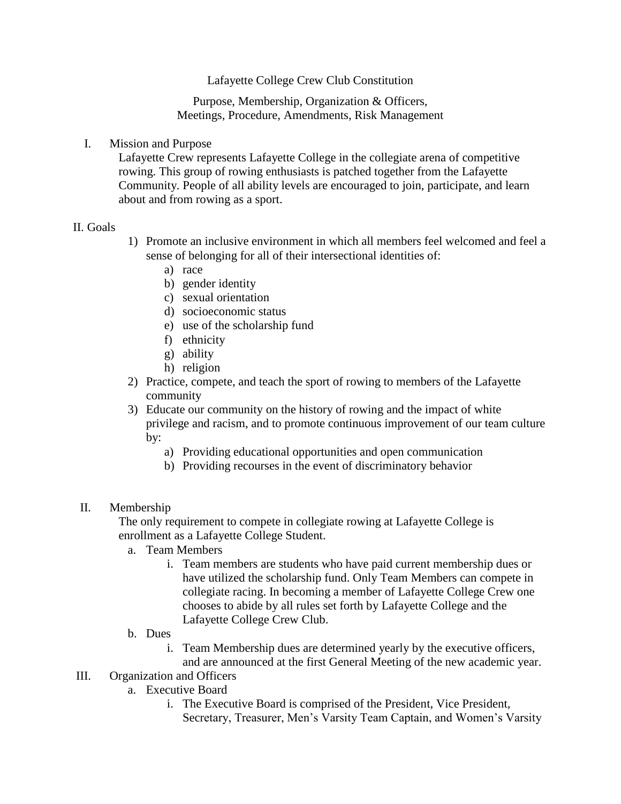Lafayette College Crew Club Constitution

Purpose, Membership, Organization & Officers, Meetings, Procedure, Amendments, Risk Management

I. Mission and Purpose

Lafayette Crew represents Lafayette College in the collegiate arena of competitive rowing. This group of rowing enthusiasts is patched together from the Lafayette Community. People of all ability levels are encouraged to join, participate, and learn about and from rowing as a sport.

#### II. Goals

- 1) Promote an inclusive environment in which all members feel welcomed and feel a sense of belonging for all of their intersectional identities of:
	- a) race
	- b) gender identity
	- c) sexual orientation
	- d) socioeconomic status
	- e) use of the scholarship fund
	- f) ethnicity
	- g) ability
	- h) religion
- 2) Practice, compete, and teach the sport of rowing to members of the Lafayette community
- 3) Educate our community on the history of rowing and the impact of white privilege and racism, and to promote continuous improvement of our team culture by:
	- a) Providing educational opportunities and open communication
	- b) Providing recourses in the event of discriminatory behavior

#### II. Membership

The only requirement to compete in collegiate rowing at Lafayette College is enrollment as a Lafayette College Student.

- a. Team Members
	- i. Team members are students who have paid current membership dues or have utilized the scholarship fund. Only Team Members can compete in collegiate racing. In becoming a member of Lafayette College Crew one chooses to abide by all rules set forth by Lafayette College and the Lafayette College Crew Club.
- b. Dues
	- i. Team Membership dues are determined yearly by the executive officers, and are announced at the first General Meeting of the new academic year.

# III. Organization and Officers

- a. Executive Board
	- i. The Executive Board is comprised of the President, Vice President, Secretary, Treasurer, Men's Varsity Team Captain, and Women's Varsity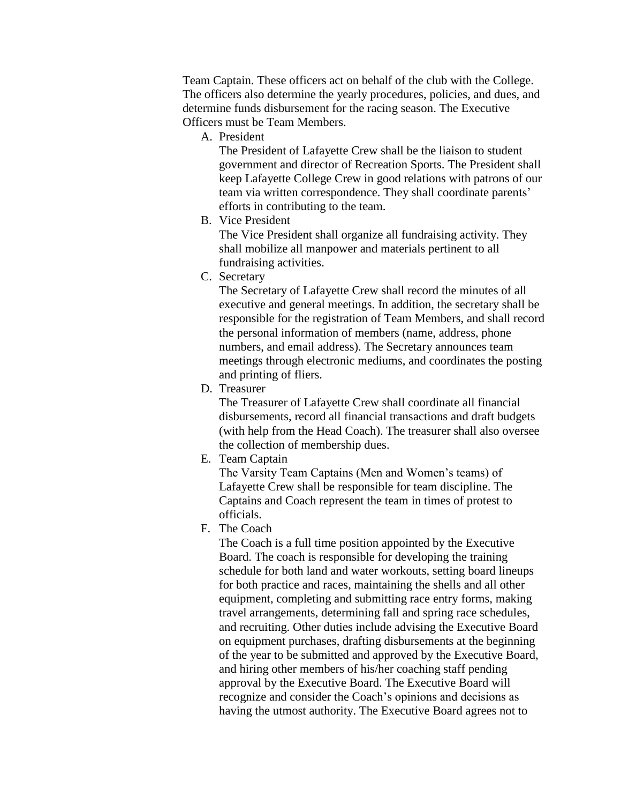Team Captain. These officers act on behalf of the club with the College. The officers also determine the yearly procedures, policies, and dues, and determine funds disbursement for the racing season. The Executive Officers must be Team Members.

A. President

The President of Lafayette Crew shall be the liaison to student government and director of Recreation Sports. The President shall keep Lafayette College Crew in good relations with patrons of our team via written correspondence. They shall coordinate parents' efforts in contributing to the team.

B. Vice President

The Vice President shall organize all fundraising activity. They shall mobilize all manpower and materials pertinent to all fundraising activities.

C. Secretary

The Secretary of Lafayette Crew shall record the minutes of all executive and general meetings. In addition, the secretary shall be responsible for the registration of Team Members, and shall record the personal information of members (name, address, phone numbers, and email address). The Secretary announces team meetings through electronic mediums, and coordinates the posting and printing of fliers.

D. Treasurer

The Treasurer of Lafayette Crew shall coordinate all financial disbursements, record all financial transactions and draft budgets (with help from the Head Coach). The treasurer shall also oversee the collection of membership dues.

E. Team Captain

The Varsity Team Captains (Men and Women's teams) of Lafayette Crew shall be responsible for team discipline. The Captains and Coach represent the team in times of protest to officials.

F. The Coach

The Coach is a full time position appointed by the Executive Board. The coach is responsible for developing the training schedule for both land and water workouts, setting board lineups for both practice and races, maintaining the shells and all other equipment, completing and submitting race entry forms, making travel arrangements, determining fall and spring race schedules, and recruiting. Other duties include advising the Executive Board on equipment purchases, drafting disbursements at the beginning of the year to be submitted and approved by the Executive Board, and hiring other members of his/her coaching staff pending approval by the Executive Board. The Executive Board will recognize and consider the Coach's opinions and decisions as having the utmost authority. The Executive Board agrees not to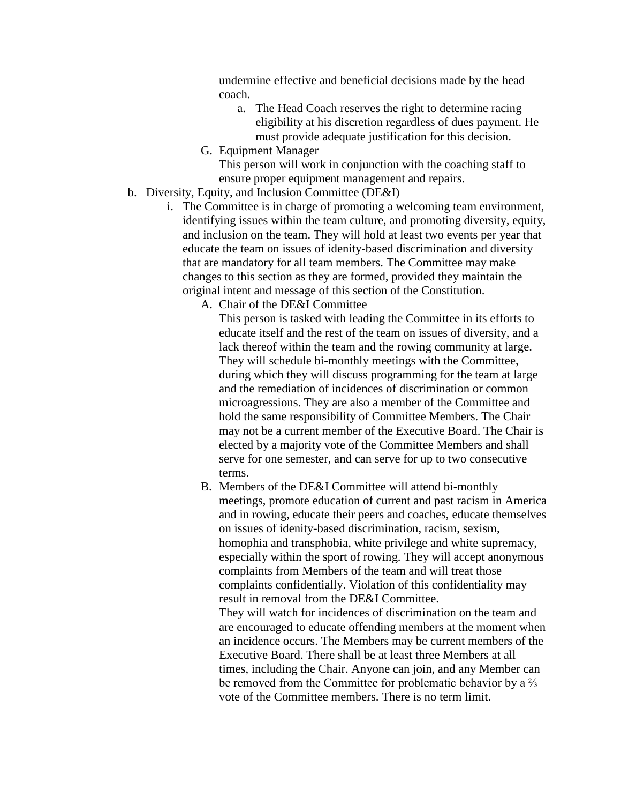undermine effective and beneficial decisions made by the head coach.

- a. The Head Coach reserves the right to determine racing eligibility at his discretion regardless of dues payment. He must provide adequate justification for this decision.
- G. Equipment Manager

This person will work in conjunction with the coaching staff to ensure proper equipment management and repairs.

- b. Diversity, Equity, and Inclusion Committee (DE&I)
	- i. The Committee is in charge of promoting a welcoming team environment, identifying issues within the team culture, and promoting diversity, equity, and inclusion on the team. They will hold at least two events per year that educate the team on issues of idenity-based discrimination and diversity that are mandatory for all team members. The Committee may make changes to this section as they are formed, provided they maintain the original intent and message of this section of the Constitution.
		- A. Chair of the DE&I Committee

This person is tasked with leading the Committee in its efforts to educate itself and the rest of the team on issues of diversity, and a lack thereof within the team and the rowing community at large. They will schedule bi-monthly meetings with the Committee, during which they will discuss programming for the team at large and the remediation of incidences of discrimination or common microagressions. They are also a member of the Committee and hold the same responsibility of Committee Members. The Chair may not be a current member of the Executive Board. The Chair is elected by a majority vote of the Committee Members and shall serve for one semester, and can serve for up to two consecutive terms.

B. Members of the DE&I Committee will attend bi-monthly meetings, promote education of current and past racism in America and in rowing, educate their peers and coaches, educate themselves on issues of idenity-based discrimination, racism, sexism, homophia and transphobia, white privilege and white supremacy, especially within the sport of rowing. They will accept anonymous complaints from Members of the team and will treat those complaints confidentially. Violation of this confidentiality may result in removal from the DE&I Committee. They will watch for incidences of discrimination on the team and are encouraged to educate offending members at the moment when an incidence occurs. The Members may be current members of the Executive Board. There shall be at least three Members at all times, including the Chair. Anyone can join, and any Member can

be removed from the Committee for problematic behavior by a ⅔ vote of the Committee members. There is no term limit.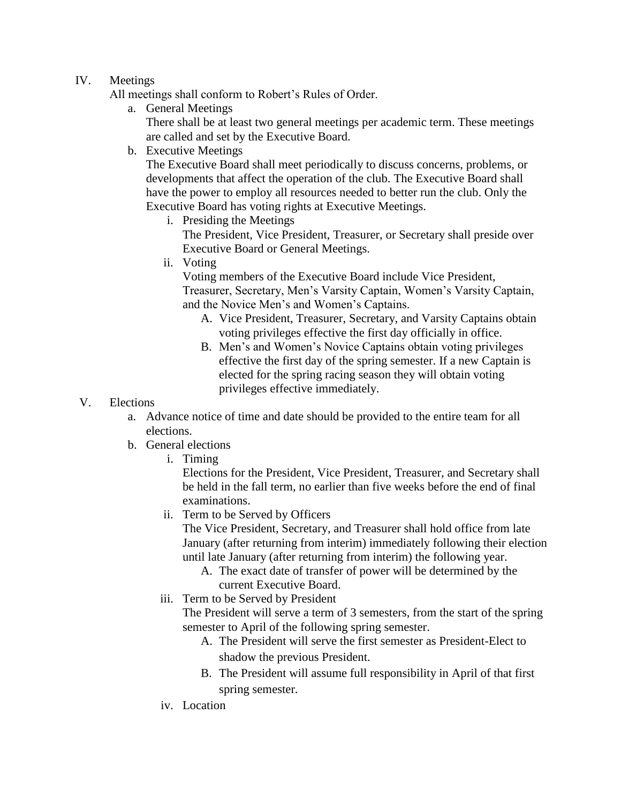### IV. Meetings

- All meetings shall conform to Robert's Rules of Order.
	- a. General Meetings

There shall be at least two general meetings per academic term. These meetings are called and set by the Executive Board.

b. Executive Meetings

The Executive Board shall meet periodically to discuss concerns, problems, or developments that affect the operation of the club. The Executive Board shall have the power to employ all resources needed to better run the club. Only the Executive Board has voting rights at Executive Meetings.

i. Presiding the Meetings

The President, Vice President, Treasurer, or Secretary shall preside over Executive Board or General Meetings.

ii. Voting

Voting members of the Executive Board include Vice President, Treasurer, Secretary, Men's Varsity Captain, Women's Varsity Captain, and the Novice Men's and Women's Captains.

- A. Vice President, Treasurer, Secretary, and Varsity Captains obtain voting privileges effective the first day officially in office.
- B. Men's and Women's Novice Captains obtain voting privileges effective the first day of the spring semester. If a new Captain is elected for the spring racing season they will obtain voting privileges effective immediately.
- V. Elections
	- a. Advance notice of time and date should be provided to the entire team for all elections.
	- b. General elections
		- i. Timing

Elections for the President, Vice President, Treasurer, and Secretary shall be held in the fall term, no earlier than five weeks before the end of final examinations.

ii. Term to be Served by Officers

The Vice President, Secretary, and Treasurer shall hold office from late January (after returning from interim) immediately following their election until late January (after returning from interim) the following year.

- A. The exact date of transfer of power will be determined by the current Executive Board.
- iii. Term to be Served by President

The President will serve a term of 3 semesters, from the start of the spring semester to April of the following spring semester.

- A. The President will serve the first semester as President-Elect to shadow the previous President.
- B. The President will assume full responsibility in April of that first spring semester.
- iv. Location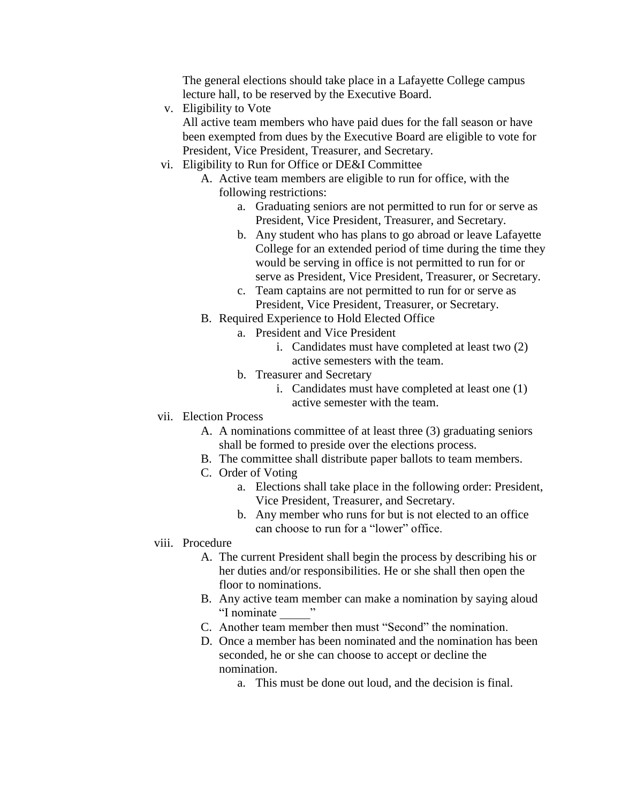The general elections should take place in a Lafayette College campus lecture hall, to be reserved by the Executive Board.

v. Eligibility to Vote

All active team members who have paid dues for the fall season or have been exempted from dues by the Executive Board are eligible to vote for President, Vice President, Treasurer, and Secretary.

- vi. Eligibility to Run for Office or DE&I Committee
	- A. Active team members are eligible to run for office, with the following restrictions:
		- a. Graduating seniors are not permitted to run for or serve as President, Vice President, Treasurer, and Secretary.
		- b. Any student who has plans to go abroad or leave Lafayette College for an extended period of time during the time they would be serving in office is not permitted to run for or serve as President, Vice President, Treasurer, or Secretary.
		- c. Team captains are not permitted to run for or serve as President, Vice President, Treasurer, or Secretary.
	- B. Required Experience to Hold Elected Office
		- a. President and Vice President
			- i. Candidates must have completed at least two (2) active semesters with the team.
			- b. Treasurer and Secretary
				- i. Candidates must have completed at least one (1) active semester with the team.
- vii. Election Process
	- A. A nominations committee of at least three (3) graduating seniors shall be formed to preside over the elections process.
	- B. The committee shall distribute paper ballots to team members.
	- C. Order of Voting
		- a. Elections shall take place in the following order: President, Vice President, Treasurer, and Secretary.
		- b. Any member who runs for but is not elected to an office can choose to run for a "lower" office.

### viii. Procedure

- A. The current President shall begin the process by describing his or her duties and/or responsibilities. He or she shall then open the floor to nominations.
- B. Any active team member can make a nomination by saying aloud "I nominate \_\_\_\_\_"
- C. Another team member then must "Second" the nomination.
- D. Once a member has been nominated and the nomination has been seconded, he or she can choose to accept or decline the nomination.
	- a. This must be done out loud, and the decision is final.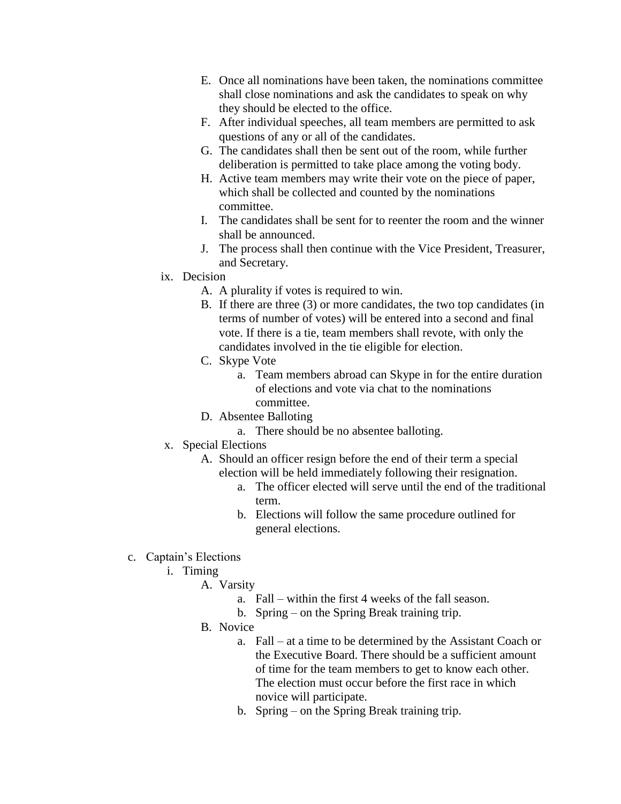- E. Once all nominations have been taken, the nominations committee shall close nominations and ask the candidates to speak on why they should be elected to the office.
- F. After individual speeches, all team members are permitted to ask questions of any or all of the candidates.
- G. The candidates shall then be sent out of the room, while further deliberation is permitted to take place among the voting body.
- H. Active team members may write their vote on the piece of paper, which shall be collected and counted by the nominations committee.
- I. The candidates shall be sent for to reenter the room and the winner shall be announced.
- J. The process shall then continue with the Vice President, Treasurer, and Secretary.
- ix. Decision
	- A. A plurality if votes is required to win.
	- B. If there are three (3) or more candidates, the two top candidates (in terms of number of votes) will be entered into a second and final vote. If there is a tie, team members shall revote, with only the candidates involved in the tie eligible for election.
	- C. Skype Vote
		- a. Team members abroad can Skype in for the entire duration of elections and vote via chat to the nominations committee.
	- D. Absentee Balloting
		- a. There should be no absentee balloting.
- x. Special Elections
	- A. Should an officer resign before the end of their term a special election will be held immediately following their resignation.
		- a. The officer elected will serve until the end of the traditional term.
		- b. Elections will follow the same procedure outlined for general elections.
- c. Captain's Elections
	- i. Timing
		- A. Varsity
			- a. Fall within the first 4 weeks of the fall season.
			- b. Spring on the Spring Break training trip.
		- B. Novice
			- a. Fall at a time to be determined by the Assistant Coach or the Executive Board. There should be a sufficient amount of time for the team members to get to know each other. The election must occur before the first race in which novice will participate.
			- b. Spring on the Spring Break training trip.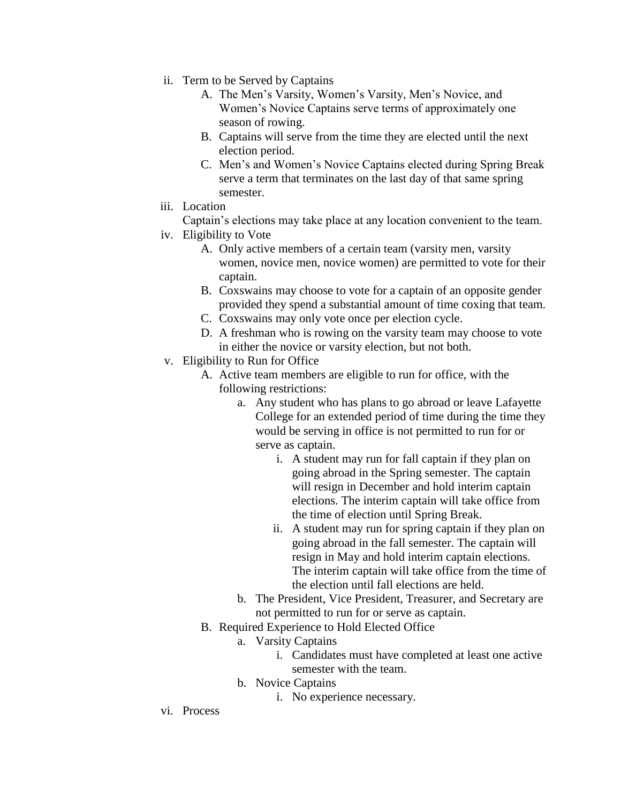- ii. Term to be Served by Captains
	- A. The Men's Varsity, Women's Varsity, Men's Novice, and Women's Novice Captains serve terms of approximately one season of rowing.
	- B. Captains will serve from the time they are elected until the next election period.
	- C. Men's and Women's Novice Captains elected during Spring Break serve a term that terminates on the last day of that same spring semester.
- iii. Location

Captain's elections may take place at any location convenient to the team.

- iv. Eligibility to Vote
	- A. Only active members of a certain team (varsity men, varsity women, novice men, novice women) are permitted to vote for their captain.
	- B. Coxswains may choose to vote for a captain of an opposite gender provided they spend a substantial amount of time coxing that team.
	- C. Coxswains may only vote once per election cycle.
	- D. A freshman who is rowing on the varsity team may choose to vote in either the novice or varsity election, but not both.
- v. Eligibility to Run for Office
	- A. Active team members are eligible to run for office, with the following restrictions:
		- a. Any student who has plans to go abroad or leave Lafayette College for an extended period of time during the time they would be serving in office is not permitted to run for or serve as captain.
			- i. A student may run for fall captain if they plan on going abroad in the Spring semester. The captain will resign in December and hold interim captain elections. The interim captain will take office from the time of election until Spring Break.
			- ii. A student may run for spring captain if they plan on going abroad in the fall semester. The captain will resign in May and hold interim captain elections. The interim captain will take office from the time of the election until fall elections are held.
		- b. The President, Vice President, Treasurer, and Secretary are not permitted to run for or serve as captain.
	- B. Required Experience to Hold Elected Office
		- a. Varsity Captains
			- i. Candidates must have completed at least one active semester with the team.
		- b. Novice Captains
			- i. No experience necessary.
- vi. Process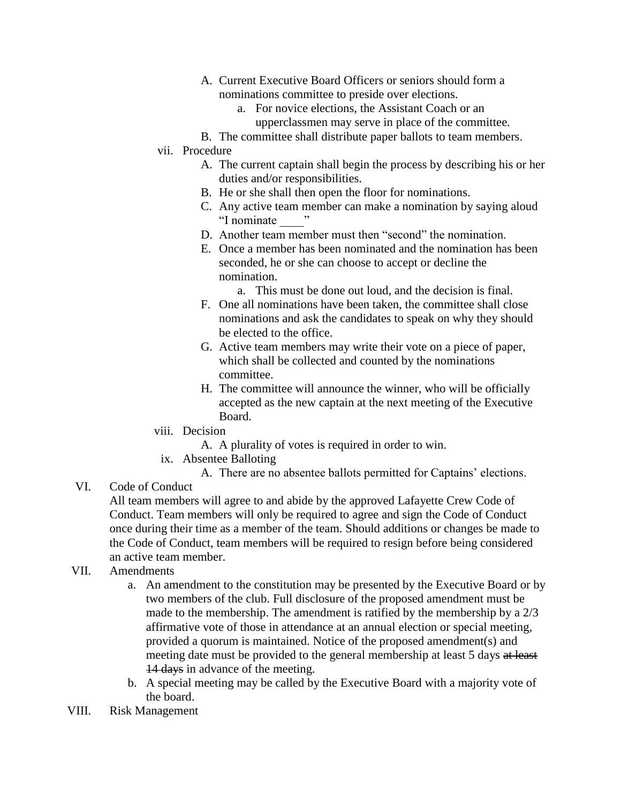- A. Current Executive Board Officers or seniors should form a nominations committee to preside over elections.
	- a. For novice elections, the Assistant Coach or an upperclassmen may serve in place of the committee.
- B. The committee shall distribute paper ballots to team members.

### vii. Procedure

- A. The current captain shall begin the process by describing his or her duties and/or responsibilities.
- B. He or she shall then open the floor for nominations.
- C. Any active team member can make a nomination by saying aloud "I nominate \_\_\_\_"
- D. Another team member must then "second" the nomination.
- E. Once a member has been nominated and the nomination has been seconded, he or she can choose to accept or decline the nomination.
	- a. This must be done out loud, and the decision is final.
- F. One all nominations have been taken, the committee shall close nominations and ask the candidates to speak on why they should be elected to the office.
- G. Active team members may write their vote on a piece of paper, which shall be collected and counted by the nominations committee.
- H. The committee will announce the winner, who will be officially accepted as the new captain at the next meeting of the Executive Board.
- viii. Decision
	- A. A plurality of votes is required in order to win.
- ix. Absentee Balloting
	- A. There are no absentee ballots permitted for Captains' elections.

# VI. Code of Conduct

All team members will agree to and abide by the approved Lafayette Crew Code of Conduct. Team members will only be required to agree and sign the Code of Conduct once during their time as a member of the team. Should additions or changes be made to the Code of Conduct, team members will be required to resign before being considered an active team member.

#### VII. Amendments

- a. An amendment to the constitution may be presented by the Executive Board or by two members of the club. Full disclosure of the proposed amendment must be made to the membership. The amendment is ratified by the membership by a 2/3 affirmative vote of those in attendance at an annual election or special meeting, provided a quorum is maintained. Notice of the proposed amendment(s) and meeting date must be provided to the general membership at least 5 days at least 14 days in advance of the meeting.
- b. A special meeting may be called by the Executive Board with a majority vote of the board.
- VIII. Risk Management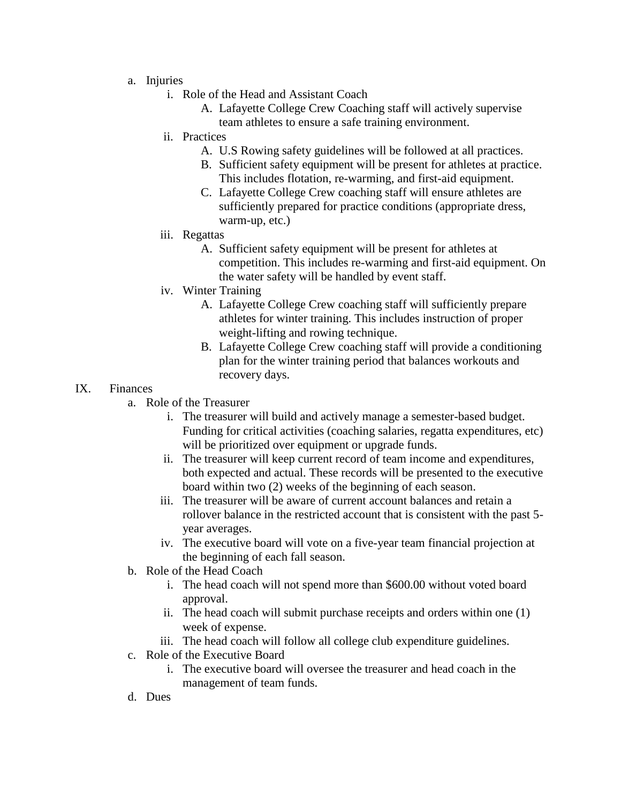- a. Injuries
	- i. Role of the Head and Assistant Coach
		- A. Lafayette College Crew Coaching staff will actively supervise team athletes to ensure a safe training environment.
	- ii. Practices
		- A. U.S Rowing safety guidelines will be followed at all practices.
		- B. Sufficient safety equipment will be present for athletes at practice. This includes flotation, re-warming, and first-aid equipment.
		- C. Lafayette College Crew coaching staff will ensure athletes are sufficiently prepared for practice conditions (appropriate dress, warm-up, etc.)
	- iii. Regattas
		- A. Sufficient safety equipment will be present for athletes at competition. This includes re-warming and first-aid equipment. On the water safety will be handled by event staff.
	- iv. Winter Training
		- A. Lafayette College Crew coaching staff will sufficiently prepare athletes for winter training. This includes instruction of proper weight-lifting and rowing technique.
		- B. Lafayette College Crew coaching staff will provide a conditioning plan for the winter training period that balances workouts and recovery days.

#### IX. Finances

- a. Role of the Treasurer
	- i. The treasurer will build and actively manage a semester-based budget. Funding for critical activities (coaching salaries, regatta expenditures, etc) will be prioritized over equipment or upgrade funds.
	- ii. The treasurer will keep current record of team income and expenditures, both expected and actual. These records will be presented to the executive board within two (2) weeks of the beginning of each season.
	- iii. The treasurer will be aware of current account balances and retain a rollover balance in the restricted account that is consistent with the past 5 year averages.
	- iv. The executive board will vote on a five-year team financial projection at the beginning of each fall season.
- b. Role of the Head Coach
	- i. The head coach will not spend more than \$600.00 without voted board approval.
	- ii. The head coach will submit purchase receipts and orders within one (1) week of expense.
	- iii. The head coach will follow all college club expenditure guidelines.
- c. Role of the Executive Board
	- i. The executive board will oversee the treasurer and head coach in the management of team funds.
- d. Dues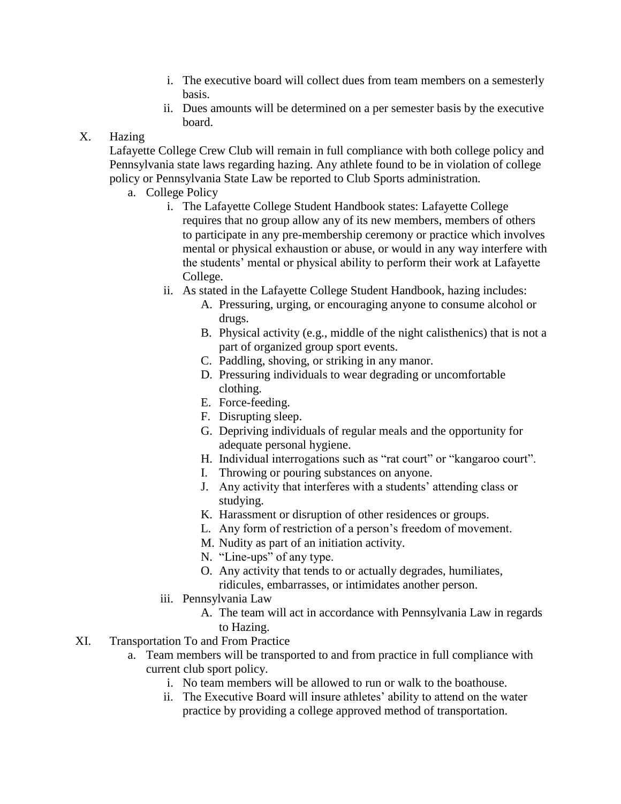- i. The executive board will collect dues from team members on a semesterly basis.
- ii. Dues amounts will be determined on a per semester basis by the executive board.

# X. Hazing

Lafayette College Crew Club will remain in full compliance with both college policy and Pennsylvania state laws regarding hazing. Any athlete found to be in violation of college policy or Pennsylvania State Law be reported to Club Sports administration.

- a. College Policy
	- i. The Lafayette College Student Handbook states: Lafayette College requires that no group allow any of its new members, members of others to participate in any pre-membership ceremony or practice which involves mental or physical exhaustion or abuse, or would in any way interfere with the students' mental or physical ability to perform their work at Lafayette College.
	- ii. As stated in the Lafayette College Student Handbook, hazing includes:
		- A. Pressuring, urging, or encouraging anyone to consume alcohol or drugs.
		- B. Physical activity (e.g., middle of the night calisthenics) that is not a part of organized group sport events.
		- C. Paddling, shoving, or striking in any manor.
		- D. Pressuring individuals to wear degrading or uncomfortable clothing.
		- E. Force-feeding.
		- F. Disrupting sleep.
		- G. Depriving individuals of regular meals and the opportunity for adequate personal hygiene.
		- H. Individual interrogations such as "rat court" or "kangaroo court".
		- I. Throwing or pouring substances on anyone.
		- J. Any activity that interferes with a students' attending class or studying.
		- K. Harassment or disruption of other residences or groups.
		- L. Any form of restriction of a person's freedom of movement.
		- M. Nudity as part of an initiation activity.
		- N. "Line-ups" of any type.
		- O. Any activity that tends to or actually degrades, humiliates, ridicules, embarrasses, or intimidates another person.
	- iii. Pennsylvania Law
		- A. The team will act in accordance with Pennsylvania Law in regards to Hazing.
- XI. Transportation To and From Practice
	- a. Team members will be transported to and from practice in full compliance with current club sport policy.
		- i. No team members will be allowed to run or walk to the boathouse.
		- ii. The Executive Board will insure athletes' ability to attend on the water practice by providing a college approved method of transportation.